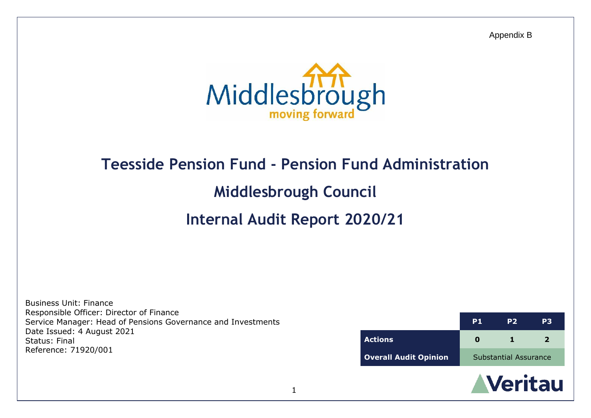Appendix B



# **Teesside Pension Fund - Pension Fund Administration**

# **Middlesbrough Council**

# **Internal Audit Report 2020/21**

Business Unit: Finance Responsible Officer: Director of Finance Service Manager: Head of Pensions Governance and Investments Date Issued: 4 August 2021 Status: Final Reference: 71920/001

|                              | P <sub>1</sub>        | P <sub>2</sub> | P3 |
|------------------------------|-----------------------|----------------|----|
| <b>Actions</b>               |                       |                | 2  |
| <b>Overall Audit Opinion</b> | Substantial Assurance |                |    |

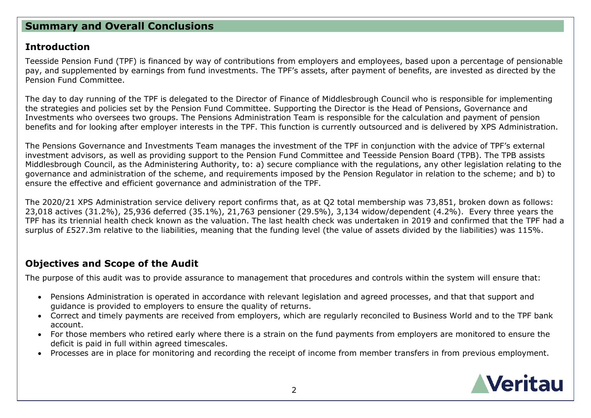# **Summary and Overall Conclusions**

## **Introduction**

Teesside Pension Fund (TPF) is financed by way of contributions from employers and employees, based upon a percentage of pensionable pay, and supplemented by earnings from fund investments. The TPF's assets, after payment of benefits, are invested as directed by the Pension Fund Committee.

The day to day running of the TPF is delegated to the Director of Finance of Middlesbrough Council who is responsible for implementing the strategies and policies set by the Pension Fund Committee. Supporting the Director is the Head of Pensions, Governance and Investments who oversees two groups. The Pensions Administration Team is responsible for the calculation and payment of pension benefits and for looking after employer interests in the TPF. This function is currently outsourced and is delivered by XPS Administration.

The Pensions Governance and Investments Team manages the investment of the TPF in conjunction with the advice of TPF's external investment advisors, as well as providing support to the Pension Fund Committee and Teesside Pension Board (TPB). The TPB assists Middlesbrough Council, as the Administering Authority, to: a) secure compliance with the regulations, any other legislation relating to the governance and administration of the scheme, and requirements imposed by the Pension Regulator in relation to the scheme; and b) to ensure the effective and efficient governance and administration of the TPF.

The 2020/21 XPS Administration service delivery report confirms that, as at Q2 total membership was 73,851, broken down as follows: 23,018 actives (31.2%), 25,936 deferred (35.1%), 21,763 pensioner (29.5%), 3,134 widow/dependent (4.2%). Every three years the TPF has its triennial health check known as the valuation. The last health check was undertaken in 2019 and confirmed that the TPF had a surplus of £527.3m relative to the liabilities, meaning that the funding level (the value of assets divided by the liabilities) was 115%.

# **Objectives and Scope of the Audit**

The purpose of this audit was to provide assurance to management that procedures and controls within the system will ensure that:

- Pensions Administration is operated in accordance with relevant legislation and agreed processes, and that that support and guidance is provided to employers to ensure the quality of returns.
- Correct and timely payments are received from employers, which are regularly reconciled to Business World and to the TPF bank account.
- For those members who retired early where there is a strain on the fund payments from employers are monitored to ensure the deficit is paid in full within agreed timescales.
- Processes are in place for monitoring and recording the receipt of income from member transfers in from previous employment.

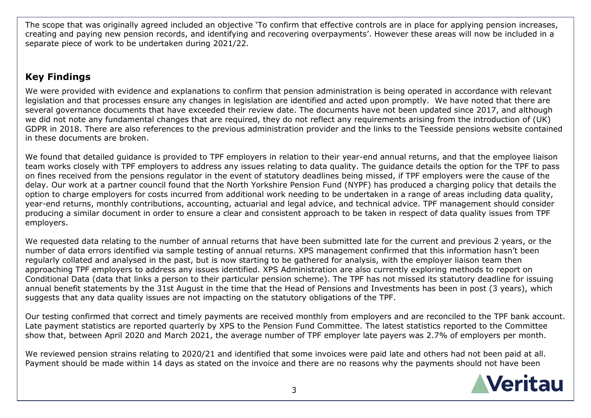The scope that was originally agreed included an objective 'To confirm that effective controls are in place for applying pension increases, creating and paying new pension records, and identifying and recovering overpayments'. However these areas will now be included in a separate piece of work to be undertaken during 2021/22.

# **Key Findings**

We were provided with evidence and explanations to confirm that pension administration is being operated in accordance with relevant legislation and that processes ensure any changes in legislation are identified and acted upon promptly. We have noted that there are several governance documents that have exceeded their review date. The documents have not been updated since 2017, and although we did not note any fundamental changes that are required, they do not reflect any requirements arising from the introduction of (UK) GDPR in 2018. There are also references to the previous administration provider and the links to the Teesside pensions website contained in these documents are broken.

We found that detailed guidance is provided to TPF employers in relation to their year-end annual returns, and that the employee liaison team works closely with TPF employers to address any issues relating to data quality. The guidance details the option for the TPF to pass on fines received from the pensions regulator in the event of statutory deadlines being missed, if TPF employers were the cause of the delay. Our work at a partner council found that the North Yorkshire Pension Fund (NYPF) has produced a charging policy that details the option to charge employers for costs incurred from additional work needing to be undertaken in a range of areas including data quality, year-end returns, monthly contributions, accounting, actuarial and legal advice, and technical advice. TPF management should consider producing a similar document in order to ensure a clear and consistent approach to be taken in respect of data quality issues from TPF employers.

We requested data relating to the number of annual returns that have been submitted late for the current and previous 2 years, or the number of data errors identified via sample testing of annual returns. XPS management confirmed that this information hasn't been regularly collated and analysed in the past, but is now starting to be gathered for analysis, with the employer liaison team then approaching TPF employers to address any issues identified. XPS Administration are also currently exploring methods to report on Conditional Data (data that links a person to their particular pension scheme). The TPF has not missed its statutory deadline for issuing annual benefit statements by the 31st August in the time that the Head of Pensions and Investments has been in post (3 years), which suggests that any data quality issues are not impacting on the statutory obligations of the TPF.

Our testing confirmed that correct and timely payments are received monthly from employers and are reconciled to the TPF bank account. Late payment statistics are reported quarterly by XPS to the Pension Fund Committee. The latest statistics reported to the Committee show that, between April 2020 and March 2021, the average number of TPF employer late payers was 2.7% of employers per month.

We reviewed pension strains relating to 2020/21 and identified that some invoices were paid late and others had not been paid at all. Payment should be made within 14 days as stated on the invoice and there are no reasons why the payments should not have been

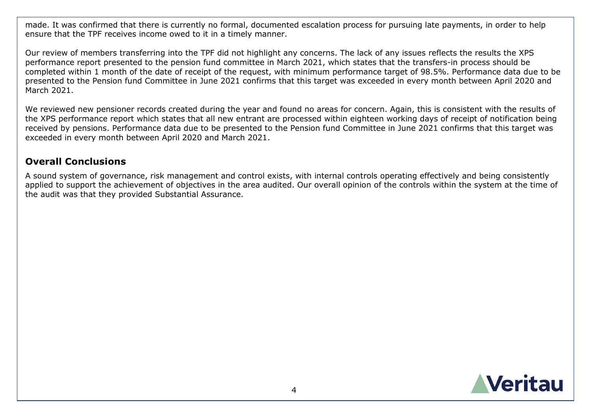made. It was confirmed that there is currently no formal, documented escalation process for pursuing late payments, in order to help ensure that the TPF receives income owed to it in a timely manner.

Our review of members transferring into the TPF did not highlight any concerns. The lack of any issues reflects the results the XPS performance report presented to the pension fund committee in March 2021, which states that the transfers-in process should be completed within 1 month of the date of receipt of the request, with minimum performance target of 98.5%. Performance data due to be presented to the Pension fund Committee in June 2021 confirms that this target was exceeded in every month between April 2020 and March 2021.

We reviewed new pensioner records created during the year and found no areas for concern. Again, this is consistent with the results of the XPS performance report which states that all new entrant are processed within eighteen working days of receipt of notification being received by pensions. Performance data due to be presented to the Pension fund Committee in June 2021 confirms that this target was exceeded in every month between April 2020 and March 2021.

## **Overall Conclusions**

A sound system of governance, risk management and control exists, with internal controls operating effectively and being consistently applied to support the achievement of objectives in the area audited. Our overall opinion of the controls within the system at the time of the audit was that they provided Substantial Assurance.

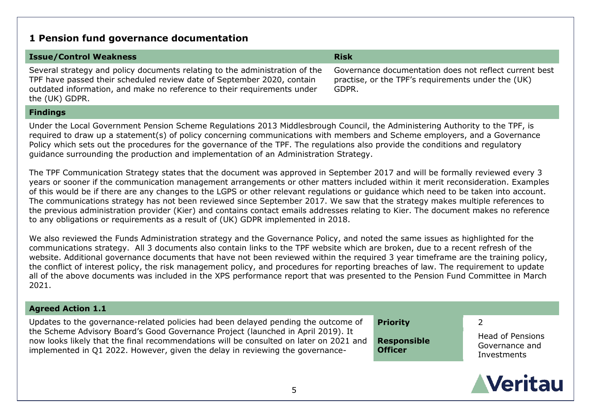# **1 Pension fund governance documentation**

| <b>Issue/Control Weakness</b>                                                                                                                                                                                                                      | <b>Risk</b>                                                                                                           |
|----------------------------------------------------------------------------------------------------------------------------------------------------------------------------------------------------------------------------------------------------|-----------------------------------------------------------------------------------------------------------------------|
| Several strategy and policy documents relating to the administration of the<br>TPF have passed their scheduled review date of September 2020, contain<br>outdated information, and make no reference to their requirements under<br>the (UK) GDPR. | Governance documentation does not reflect current best<br>practise, or the TPF's requirements under the (UK)<br>GDPR. |
| المستحدث والمستراة والمستراة                                                                                                                                                                                                                       |                                                                                                                       |

**Findings**

Under the Local Government Pension Scheme Regulations 2013 Middlesbrough Council, the Administering Authority to the TPF, is required to draw up a statement(s) of policy concerning communications with members and Scheme employers, and a Governance Policy which sets out the procedures for the governance of the TPF. The regulations also provide the conditions and regulatory guidance surrounding the production and implementation of an Administration Strategy.

The TPF Communication Strategy states that the document was approved in September 2017 and will be formally reviewed every 3 years or sooner if the communication management arrangements or other matters included within it merit reconsideration. Examples of this would be if there are any changes to the LGPS or other relevant regulations or guidance which need to be taken into account. The communications strategy has not been reviewed since September 2017. We saw that the strategy makes multiple references to the previous administration provider (Kier) and contains contact emails addresses relating to Kier. The document makes no reference to any obligations or requirements as a result of (UK) GDPR implemented in 2018.

We also reviewed the Funds Administration strategy and the Governance Policy, and noted the same issues as highlighted for the communications strategy. All 3 documents also contain links to the TPF website which are broken, due to a recent refresh of the website. Additional governance documents that have not been reviewed within the required 3 year timeframe are the training policy, the conflict of interest policy, the risk management policy, and procedures for reporting breaches of law. The requirement to update all of the above documents was included in the XPS performance report that was presented to the Pension Fund Committee in March 2021.

### **Agreed Action 1.1**

Updates to the governance-related policies had been delayed pending the outcome of the Scheme Advisory Board's Good Governance Project (launched in April 2019). It now looks likely that the final recommendations will be consulted on later on 2021 and implemented in Q1 2022. However, given the delay in reviewing the governance-

**Priority** 2

**Responsible Officer**

Head of Pensions Governance and Investments

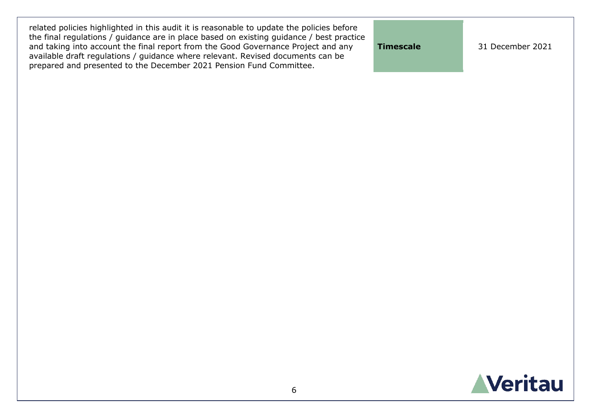| related policies highlighted in this audit it is reasonable to update the policies before<br>the final regulations / guidance are in place based on existing guidance / best practice<br>and taking into account the final report from the Good Governance Project and any<br>available draft regulations / guidance where relevant. Revised documents can be | Timescale | 31 December 2021 |
|---------------------------------------------------------------------------------------------------------------------------------------------------------------------------------------------------------------------------------------------------------------------------------------------------------------------------------------------------------------|-----------|------------------|
| prepared and presented to the December 2021 Pension Fund Committee.                                                                                                                                                                                                                                                                                           |           |                  |

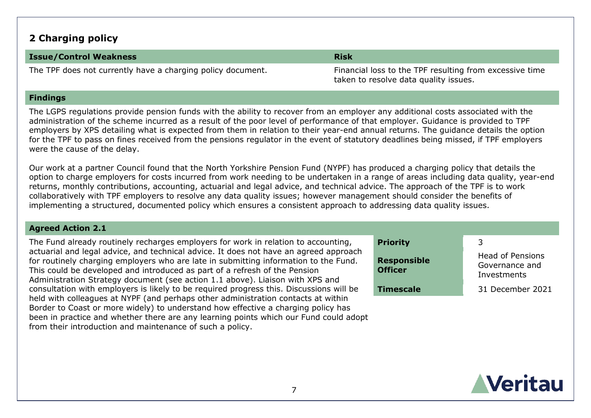# **2 Charging policy**

### **Issue/Control Weakness Risk**

The TPF does not currently have a charging policy document. The Financial loss to the TPF resulting from excessive time

taken to resolve data quality issues.

### **Findings**

The LGPS regulations provide pension funds with the ability to recover from an employer any additional costs associated with the administration of the scheme incurred as a result of the poor level of performance of that employer. Guidance is provided to TPF employers by XPS detailing what is expected from them in relation to their year-end annual returns. The guidance details the option for the TPF to pass on fines received from the pensions regulator in the event of statutory deadlines being missed, if TPF employers were the cause of the delay.

Our work at a partner Council found that the North Yorkshire Pension Fund (NYPF) has produced a charging policy that details the option to charge employers for costs incurred from work needing to be undertaken in a range of areas including data quality, year-end returns, monthly contributions, accounting, actuarial and legal advice, and technical advice. The approach of the TPF is to work collaboratively with TPF employers to resolve any data quality issues; however management should consider the benefits of implementing a structured, documented policy which ensures a consistent approach to addressing data quality issues.

### **Agreed Action 2.1**

The Fund already routinely recharges employers for work in relation to accounting, actuarial and legal advice, and technical advice. It does not have an agreed approach for routinely charging employers who are late in submitting information to the Fund. This could be developed and introduced as part of a refresh of the Pension Administration Strategy document (see action 1.1 above). Liaison with XPS and consultation with employers is likely to be required progress this. Discussions will be held with colleagues at NYPF (and perhaps other administration contacts at within Border to Coast or more widely) to understand how effective a charging policy has been in practice and whether there are any learning points which our Fund could adopt from their introduction and maintenance of such a policy.

| <b>Priority</b><br><b>Responsible</b><br><b>Officer</b> | 3<br>Head of Pensions<br>Governance and<br>Investments |
|---------------------------------------------------------|--------------------------------------------------------|
| <b>Timescale</b>                                        | 31 December 2021                                       |

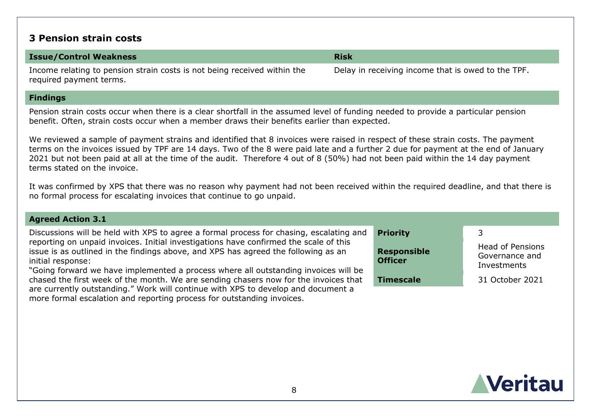### **3 Pension strain costs**

### **Issue/Control Weakness Risk**

Income relating to pension strain costs is not being received within the required payment terms.

more formal escalation and reporting process for outstanding invoices.

**Findings**

Pension strain costs occur when there is a clear shortfall in the assumed level of funding needed to provide a particular pension benefit. Often, strain costs occur when a member draws their benefits earlier than expected.

We reviewed a sample of payment strains and identified that 8 invoices were raised in respect of these strain costs. The payment terms on the invoices issued by TPF are 14 days. Two of the 8 were paid late and a further 2 due for payment at the end of January 2021 but not been paid at all at the time of the audit. Therefore 4 out of 8 (50%) had not been paid within the 14 day payment terms stated on the invoice.

It was confirmed by XPS that there was no reason why payment had not been received within the required deadline, and that there is no formal process for escalating invoices that continue to go unpaid.

### **Agreed Action 3.1** Discussions will be held with XPS to agree a formal process for chasing, escalating and reporting on unpaid invoices. Initial investigations have confirmed the scale of this issue is as outlined in the findings above, and XPS has agreed the following as an initial response: "Going forward we have implemented a process where all outstanding invoices will be chased the first week of the month. We are sending chasers now for the invoices that are currently outstanding." Work will continue with XPS to develop and document a **Priority** 3 **Responsible Officer** Head of Pensions Governance and Investments **Timescale** 31 October 2021

**Veritau** 

Delay in receiving income that is owed to the TPF.

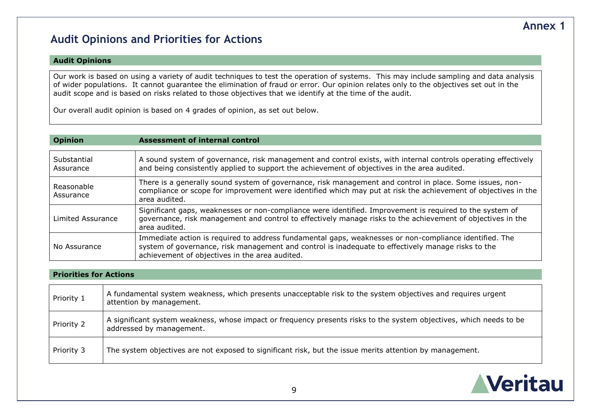# **Audit Opinions and Priorities for Actions**

### **Audit Opinions**

Our work is based on using a variety of audit techniques to test the operation of systems. This may include sampling and data analysis of wider populations. It cannot guarantee the elimination of fraud or error. Our opinion relates only to the objectives set out in the audit scope and is based on risks related to those objectives that we identify at the time of the audit.

Our overall audit opinion is based on 4 grades of opinion, as set out below.

### **Opinion Assessment of internal control**

| Substantial<br>Assurance | A sound system of governance, risk management and control exists, with internal controls operating effectively<br>and being consistently applied to support the achievement of objectives in the area audited.                                                 |
|--------------------------|----------------------------------------------------------------------------------------------------------------------------------------------------------------------------------------------------------------------------------------------------------------|
| Reasonable<br>Assurance  | There is a generally sound system of governance, risk management and control in place. Some issues, non-<br>compliance or scope for improvement were identified which may put at risk the achievement of objectives in the<br>area audited.                    |
| Limited Assurance        | Significant gaps, weaknesses or non-compliance were identified. Improvement is required to the system of<br>governance, risk management and control to effectively manage risks to the achievement of objectives in the<br>area audited.                       |
| No Assurance             | Immediate action is required to address fundamental gaps, weaknesses or non-compliance identified. The<br>system of governance, risk management and control is inadequate to effectively manage risks to the<br>achievement of objectives in the area audited. |

### **Priorities for Actions**

| Priority 1 | A fundamental system weakness, which presents unacceptable risk to the system objectives and requires urgent<br>attention by management.        |
|------------|-------------------------------------------------------------------------------------------------------------------------------------------------|
| Priority 2 | A significant system weakness, whose impact or frequency presents risks to the system objectives, which needs to be<br>addressed by management. |
| Priority 3 | The system objectives are not exposed to significant risk, but the issue merits attention by management.                                        |



# **Annex 1**